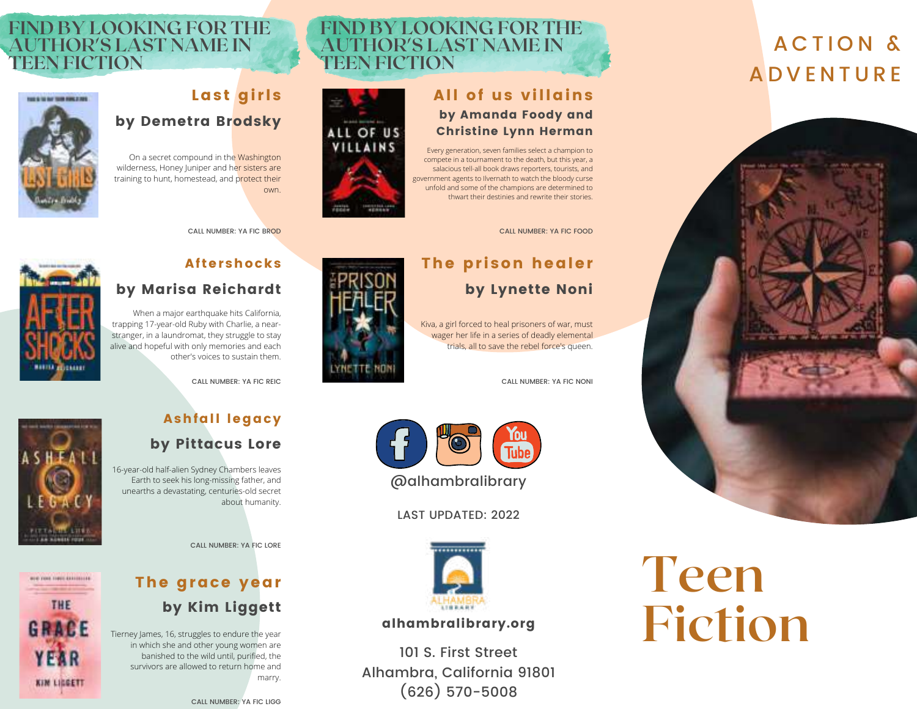## ACTION & **ADVENTURE**





**FIND BY LOOKING FOR THE AUTHOR'S LAST NAME IN**

### CALL NUMBER: YA FIC FOOD

## The prison healer by Lynette Noni

Kiva, a girl forced to heal prisoners of war, must wager her life in a series of deadly elemental trials, all to save the rebel force's queen.

# All of us villains

**TEEN FICTION**



CALL NUMBER: YA FIC NONI



## Aftershocks

CALL NUMBER: YA FIC BROD

Last girls

own.

by Demetra Brodsky

On a secret compound in the Washington wilderness, Honey Juniper and her sisters are training to hunt, homestead, and protect their

## by Marisa Reichardt

When a major earthquake hits California, trapping 17-year-old Ruby with Charlie, a nearstranger, in a laundromat, they struggle to stay alive and hopeful with only memories and each other's voices to sustain them.

**FIND BY LOOKING FOR THE AUTHOR'S LAST NAME IN**

CALL NUMBER: YA FIC REIC



**WHO FORE FIRST EXECUTIVE** 

THE

GRACE

YEAR

**KIN LIGGETT** 

## Ashfall legacy

## by Pittacus Lore

16-year-old half-alien Sydney Chambers leaves Earth to seek his long-missing father, and unearths a devastating, centuries-old secret about humanity.

CALL NUMBER: YA FIC LORE

## The grace year by Kim Liggett

Tierney James, 16, struggles to endure the year in which she and other young women are banished to the wild until, purified, the survivors are allowed to return home and marry.

CALL NUMBER: YA FIC LIGG



LAST UPDATED: 2022



### alhambralibrary.org

101 S. First Street Alhambra, California 91801 (626) 570-5008

## **Teen Fiction**



Eistaar

**TEEN FICTION**

**NAME OF TAXABLE PARTIES**